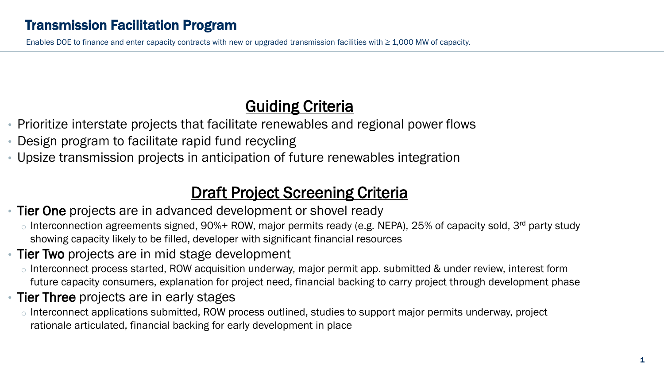Enables DOE to finance and enter capacity contracts with new or upgraded transmission facilities with  $\geq 1,000$  MW of capacity.

## **Guiding Criteria**

- Prioritize interstate projects that facilitate renewables and regional power flows
- Design program to facilitate rapid fund recycling
- Upsize transmission projects in anticipation of future renewables integration

## **Draft Project Screening Criteria**

- Tier One projects are in advanced development or shovel ready
	- $\circ$  Interconnection agreements signed, 90%+ ROW, major permits ready (e.g. NEPA), 25% of capacity sold, 3<sup>rd</sup> party study showing capacity likely to be filled, developer with significant financial resources
- Tier Two projects are in mid stage development
	- o Interconnect process started, ROW acquisition underway, major permit app. submitted & under review, interest form future capacity consumers, explanation for project need, financial backing to carry project through development phase
- Tier Three projects are in early stages
	- o Interconnect applications submitted, ROW process outlined, studies to support major permits underway, project rationale articulated, financial backing for early development in place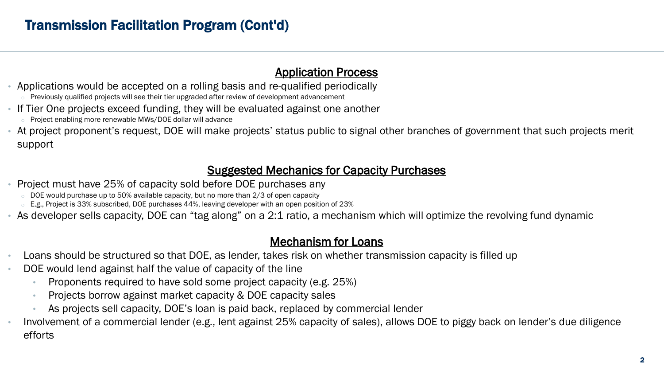#### Application Process

- Applications would be accepted on a rolling basis and re-qualified periodically
	- $\circ$  Previously qualified projects will see their tier upgraded after review of development advancement
- If Tier One projects exceed funding, they will be evaluated against one another
	- o Project enabling more renewable MWs/DOE dollar will advance
- At project proponent's request, DOE will make projects' status public to signal other branches of government that such projects merit support

#### Suggested Mechanics for Capacity Purchases

- Project must have 25% of capacity sold before DOE purchases any
	- $\circ$  DOE would purchase up to 50% available capacity, but no more than 2/3 of open capacity
	- E.g., Project is 33% subscribed, DOE purchases 44%, leaving developer with an open position of 23%
- As developer sells capacity, DOE can "tag along" on a 2:1 ratio, a mechanism which will optimize the revolving fund dynamic

#### Mechanism for Loans

- Loans should be structured so that DOE, as lender, takes risk on whether transmission capacity is filled up
- DOE would lend against half the value of capacity of the line
	- Proponents required to have sold some project capacity (e.g. 25%)
	- Projects borrow against market capacity & DOE capacity sales
	- As projects sell capacity, DOE's loan is paid back, replaced by commercial lender
- Involvement of a commercial lender (e.g., lent against 25% capacity of sales), allows DOE to piggy back on lender's due diligence efforts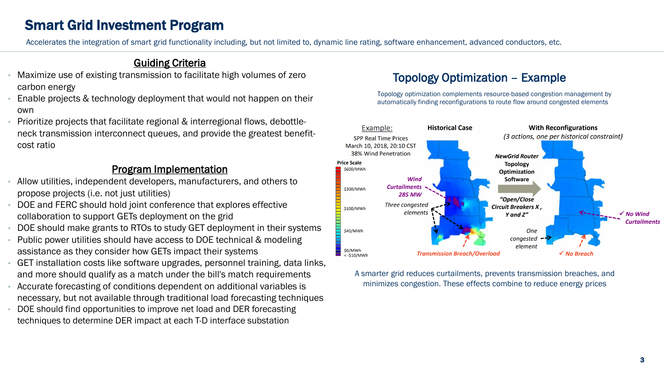## Smart Grid Investment Program

Accelerates the integration of smart grid functionality including, but not limited to, dynamic line rating, software enhancement, advanced conductors, etc.

#### Guiding Criteria

- Maximize use of existing transmission to facilitate high volumes of zero carbon energy
- Enable projects & technology deployment that would not happen on their own
- Prioritize projects that facilitate regional & interregional flows, debottleneck transmission interconnect queues, and provide the greatest benefitcost ratio

#### Program Implementation

- Allow utilities, independent developers, manufacturers, and others to propose projects (i.e. not just utilities)
- DOE and FERC should hold joint conference that explores effective collaboration to support GETs deployment on the grid
- DOE should make grants to RTOs to study GET deployment in their systems
- Public power utilities should have access to DOE technical & modeling assistance as they consider how GETs impact their systems
- GET installation costs like software upgrades, personnel training, data links, and more should qualify as a match under the bill's match requirements
- Accurate forecasting of conditions dependent on additional variables is necessary, but not available through traditional load forecasting techniques
- DOE should find opportunities to improve net load and DER forecasting techniques to determine DER impact at each T-D interface substation

#### Topology Optimization – Example

Topology optimization complements resource-based congestion management by automatically finding reconfigurations to route flow around congested elements



A smarter grid reduces curtailments, prevents transmission breaches, and minimizes congestion. These effects combine to reduce energy prices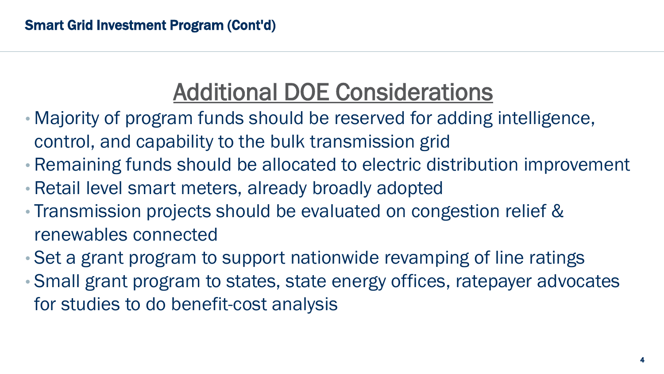# Additional DOE Considerations

- Majority of program funds should be reserved for adding intelligence, control, and capability to the bulk transmission grid
- Remaining funds should be allocated to electric distribution improvement
- Retail level smart meters, already broadly adopted
- Transmission projects should be evaluated on congestion relief & renewables connected
- Set a grant program to support nationwide revamping of line ratings
- Small grant program to states, state energy offices, ratepayer advocates for studies to do benefit-cost analysis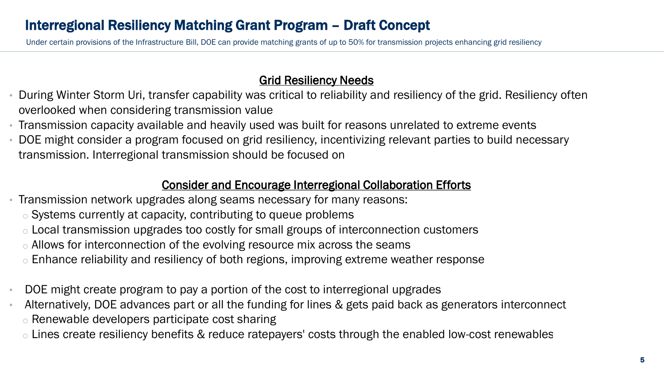## Interregional Resiliency Matching Grant Program – Draft Concept

Under certain provisions of the Infrastructure Bill, DOE can provide matching grants of up to 50% for transmission projects enhancing grid resiliency

#### Grid Resiliency Needs

- During Winter Storm Uri, transfer capability was critical to reliability and resiliency of the grid. Resiliency often overlooked when considering transmission value
- Transmission capacity available and heavily used was built for reasons unrelated to extreme events
- DOE might consider a program focused on grid resiliency, incentivizing relevant parties to build necessary transmission. Interregional transmission should be focused on

#### Consider and Encourage Interregional Collaboration Efforts

- Transmission network upgrades along seams necessary for many reasons:
	- o Systems currently at capacity, contributing to queue problems
	- $\circ$  Local transmission upgrades too costly for small groups of interconnection customers
	- . Allows for interconnection of the evolving resource mix across the seams
	- o Enhance reliability and resiliency of both regions, improving extreme weather response
- DOE might create program to pay a portion of the cost to interregional upgrades
- Alternatively, DOE advances part or all the funding for lines & gets paid back as generators interconnect o Renewable developers participate cost sharing
	- o Lines create resiliency benefits & reduce ratepayers' costs through the enabled low-cost renewables